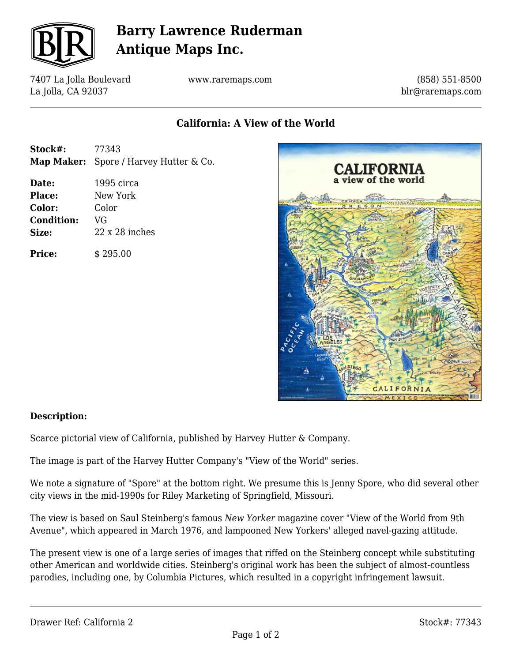

## **Barry Lawrence Ruderman Antique Maps Inc.**

7407 La Jolla Boulevard La Jolla, CA 92037

www.raremaps.com

(858) 551-8500 blr@raremaps.com

**California: A View of the World**

- **Stock#:** 77343 **Map Maker:** Spore / Harvey Hutter & Co.
- **Date:** 1995 circa **Place:** New York **Color:** Color **Condition:** VG **Size:** 22 x 28 inches

**Price:** \$ 295.00



## **Description:**

Scarce pictorial view of California, published by Harvey Hutter & Company.

The image is part of the Harvey Hutter Company's "View of the World" series.

We note a signature of "Spore" at the bottom right. We presume this is Jenny Spore, who did several other city views in the mid-1990s for Riley Marketing of Springfield, Missouri.

The view is based on Saul Steinberg's famous *New Yorker* magazine cover "View of the World from 9th Avenue", which appeared in March 1976, and lampooned New Yorkers' alleged navel-gazing attitude.

The present view is one of a large series of images that riffed on the Steinberg concept while substituting other American and worldwide cities. Steinberg's original work has been the subject of almost-countless parodies, including one, by Columbia Pictures, which resulted in a copyright infringement lawsuit.